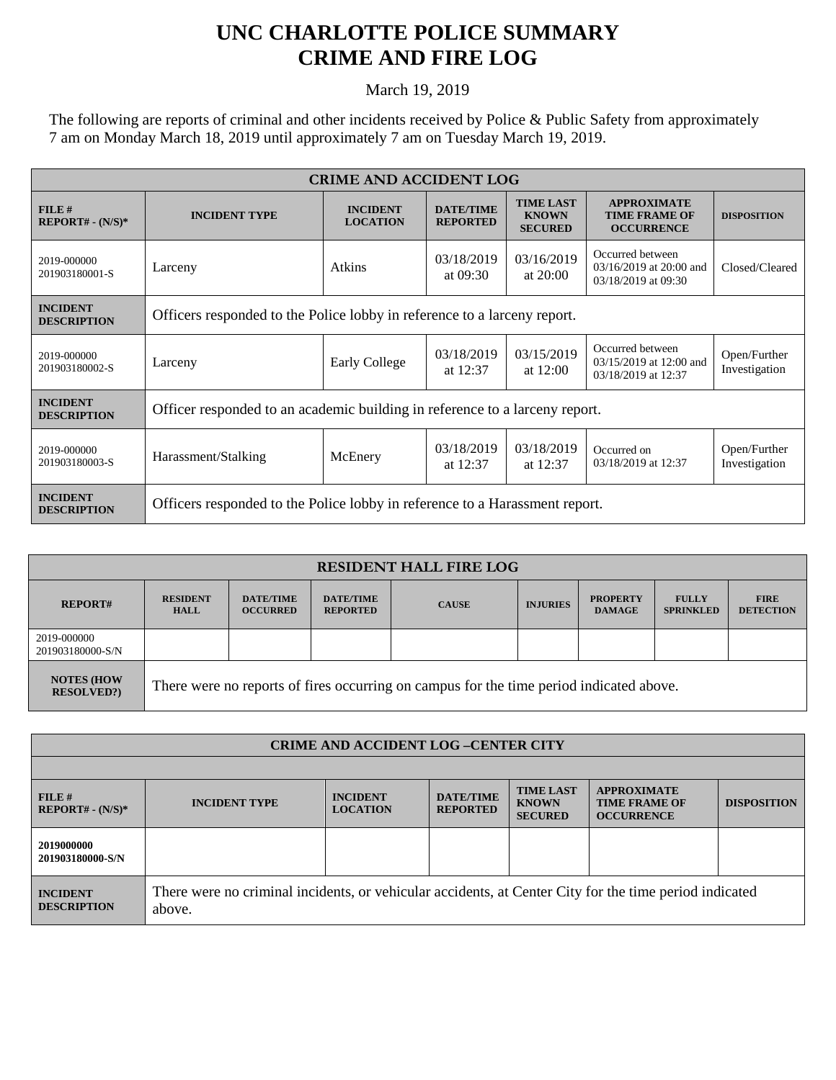## **UNC CHARLOTTE POLICE SUMMARY CRIME AND FIRE LOG**

March 19, 2019

The following are reports of criminal and other incidents received by Police & Public Safety from approximately 7 am on Monday March 18, 2019 until approximately 7 am on Tuesday March 19, 2019.

| <b>CRIME AND ACCIDENT LOG</b>         |                                                                             |                                    |                                     |                                                    |                                                                    |                               |  |
|---------------------------------------|-----------------------------------------------------------------------------|------------------------------------|-------------------------------------|----------------------------------------------------|--------------------------------------------------------------------|-------------------------------|--|
| FILE#<br>$REPORT# - (N/S)*$           | <b>INCIDENT TYPE</b>                                                        | <b>INCIDENT</b><br><b>LOCATION</b> | <b>DATE/TIME</b><br><b>REPORTED</b> | <b>TIME LAST</b><br><b>KNOWN</b><br><b>SECURED</b> | <b>APPROXIMATE</b><br><b>TIME FRAME OF</b><br><b>OCCURRENCE</b>    | <b>DISPOSITION</b>            |  |
| 2019-000000<br>201903180001-S         | Larceny                                                                     | Atkins                             | 03/18/2019<br>at $09:30$            | 03/16/2019<br>at $20:00$                           | Occurred between<br>03/16/2019 at 20:00 and<br>03/18/2019 at 09:30 | Closed/Cleared                |  |
| <b>INCIDENT</b><br><b>DESCRIPTION</b> | Officers responded to the Police lobby in reference to a larceny report.    |                                    |                                     |                                                    |                                                                    |                               |  |
| 2019-000000<br>201903180002-S         | Larceny                                                                     | <b>Early College</b>               | 03/18/2019<br>at $12:37$            | 03/15/2019<br>at $12:00$                           | Occurred between<br>03/15/2019 at 12:00 and<br>03/18/2019 at 12:37 | Open/Further<br>Investigation |  |
| <b>INCIDENT</b><br><b>DESCRIPTION</b> | Officer responded to an academic building in reference to a larceny report. |                                    |                                     |                                                    |                                                                    |                               |  |
| 2019-000000<br>201903180003-S         | Harassment/Stalking                                                         | McEnery                            | 03/18/2019<br>at $12:37$            | 03/18/2019<br>at $12:37$                           | Occurred on<br>03/18/2019 at 12:37                                 | Open/Further<br>Investigation |  |
| <b>INCIDENT</b><br><b>DESCRIPTION</b> | Officers responded to the Police lobby in reference to a Harassment report. |                                    |                                     |                                                    |                                                                    |                               |  |

| <b>RESIDENT HALL FIRE LOG</b>         |                                                                                         |                                     |                                     |              |                 |                                  |                                  |                                 |
|---------------------------------------|-----------------------------------------------------------------------------------------|-------------------------------------|-------------------------------------|--------------|-----------------|----------------------------------|----------------------------------|---------------------------------|
| <b>REPORT#</b>                        | <b>RESIDENT</b><br><b>HALL</b>                                                          | <b>DATE/TIME</b><br><b>OCCURRED</b> | <b>DATE/TIME</b><br><b>REPORTED</b> | <b>CAUSE</b> | <b>INJURIES</b> | <b>PROPERTY</b><br><b>DAMAGE</b> | <b>FULLY</b><br><b>SPRINKLED</b> | <b>FIRE</b><br><b>DETECTION</b> |
| 2019-000000<br>201903180000-S/N       |                                                                                         |                                     |                                     |              |                 |                                  |                                  |                                 |
| <b>NOTES (HOW</b><br><b>RESOLVED?</b> | There were no reports of fires occurring on campus for the time period indicated above. |                                     |                                     |              |                 |                                  |                                  |                                 |

| <b>CRIME AND ACCIDENT LOG-CENTER CITY</b> |                                                                                                                  |                                    |                                     |                                                    |                                                                 |                    |
|-------------------------------------------|------------------------------------------------------------------------------------------------------------------|------------------------------------|-------------------------------------|----------------------------------------------------|-----------------------------------------------------------------|--------------------|
|                                           |                                                                                                                  |                                    |                                     |                                                    |                                                                 |                    |
| FILE#<br>$REPORT# - (N/S)*$               | <b>INCIDENT TYPE</b>                                                                                             | <b>INCIDENT</b><br><b>LOCATION</b> | <b>DATE/TIME</b><br><b>REPORTED</b> | <b>TIME LAST</b><br><b>KNOWN</b><br><b>SECURED</b> | <b>APPROXIMATE</b><br><b>TIME FRAME OF</b><br><b>OCCURRENCE</b> | <b>DISPOSITION</b> |
| 2019000000<br>201903180000-S/N            |                                                                                                                  |                                    |                                     |                                                    |                                                                 |                    |
| <b>INCIDENT</b><br><b>DESCRIPTION</b>     | There were no criminal incidents, or vehicular accidents, at Center City for the time period indicated<br>above. |                                    |                                     |                                                    |                                                                 |                    |